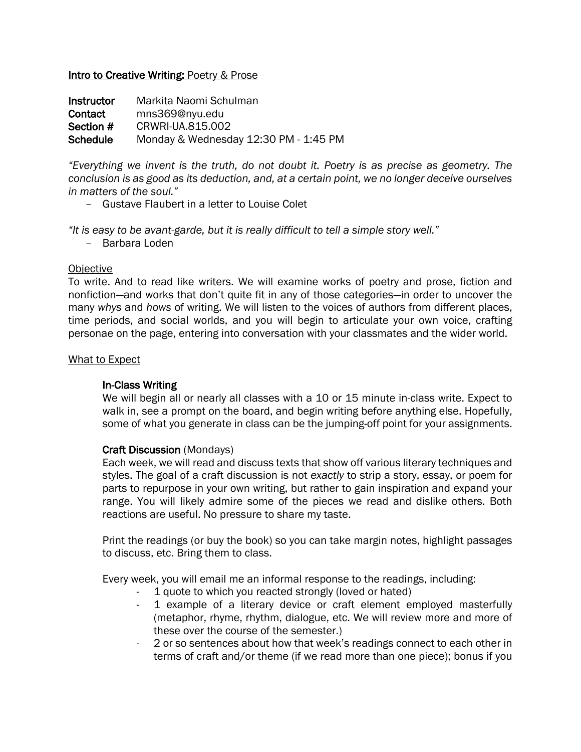# Intro to Creative Writing: Poetry & Prose

Instructor Markita Naomi Schulman Contact mns369@nyu.edu **Section # CRWRI-UA.815.002** Schedule Monday & Wednesday 12:30 PM - 1:45 PM

*"Everything we invent is the truth, do not doubt it. Poetry is as precise as geometry. The conclusion is as good as its deduction, and, at a certain point, we no longer deceive ourselves in matters of the soul."*

*–* Gustave Flaubert in a letter to Louise Colet

*"It is easy to be avant-garde, but it is really difficult to tell a simple story well."*

*–* Barbara Loden

## **Objective**

To write. And to read like writers. We will examine works of poetry and prose, fiction and nonfiction—and works that don't quite fit in any of those categories—in order to uncover the many *whys* and *hows* of writing. We will listen to the voices of authors from different places, time periods, and social worlds, and you will begin to articulate your own voice, crafting personae on the page, entering into conversation with your classmates and the wider world.

## What to Expect

# In-Class Writing

We will begin all or nearly all classes with a 10 or 15 minute in-class write. Expect to walk in, see a prompt on the board, and begin writing before anything else. Hopefully, some of what you generate in class can be the jumping-off point for your assignments.

# Craft Discussion (Mondays)

Each week, we will read and discuss texts that show off various literary techniques and styles. The goal of a craft discussion is not *exactly* to strip a story, essay, or poem for parts to repurpose in your own writing, but rather to gain inspiration and expand your range. You will likely admire some of the pieces we read and dislike others. Both reactions are useful. No pressure to share my taste.

Print the readings (or buy the book) so you can take margin notes, highlight passages to discuss, etc. Bring them to class.

Every week, you will email me an informal response to the readings, including:

- 1 quote to which you reacted strongly (loved or hated)
- 1 example of a literary device or craft element employed masterfully (metaphor, rhyme, rhythm, dialogue, etc. We will review more and more of these over the course of the semester.)
- 2 or so sentences about how that week's readings connect to each other in terms of craft and/or theme (if we read more than one piece); bonus if you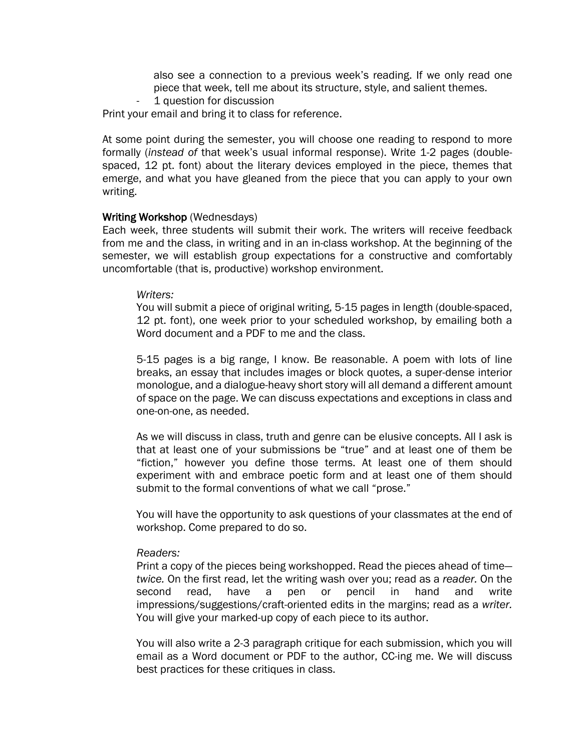also see a connection to a previous week's reading. If we only read one piece that week, tell me about its structure, style, and salient themes.

1 question for discussion

Print your email and bring it to class for reference.

At some point during the semester, you will choose one reading to respond to more formally (*instead of* that week's usual informal response). Write 1-2 pages (doublespaced, 12 pt. font) about the literary devices employed in the piece, themes that emerge, and what you have gleaned from the piece that you can apply to your own writing.

#### Writing Workshop (Wednesdays)

Each week, three students will submit their work. The writers will receive feedback from me and the class, in writing and in an in-class workshop. At the beginning of the semester, we will establish group expectations for a constructive and comfortably uncomfortable (that is, productive) workshop environment.

#### *Writers:*

You will submit a piece of original writing, 5-15 pages in length (double-spaced, 12 pt. font), one week prior to your scheduled workshop, by emailing both a Word document and a PDF to me and the class.

5-15 pages is a big range, I know. Be reasonable. A poem with lots of line breaks, an essay that includes images or block quotes, a super-dense interior monologue, and a dialogue-heavy short story will all demand a different amount of space on the page. We can discuss expectations and exceptions in class and one-on-one, as needed.

As we will discuss in class, truth and genre can be elusive concepts. All I ask is that at least one of your submissions be "true" and at least one of them be "fiction," however you define those terms. At least one of them should experiment with and embrace poetic form and at least one of them should submit to the formal conventions of what we call "prose."

You will have the opportunity to ask questions of your classmates at the end of workshop. Come prepared to do so.

#### *Readers:*

Print a copy of the pieces being workshopped. Read the pieces ahead of time *twice.* On the first read, let the writing wash over you; read as a *reader.* On the second read, have a pen or pencil in hand and write impressions/suggestions/craft-oriented edits in the margins; read as a *writer.* You will give your marked-up copy of each piece to its author.

You will also write a 2-3 paragraph critique for each submission, which you will email as a Word document or PDF to the author, CC-ing me. We will discuss best practices for these critiques in class.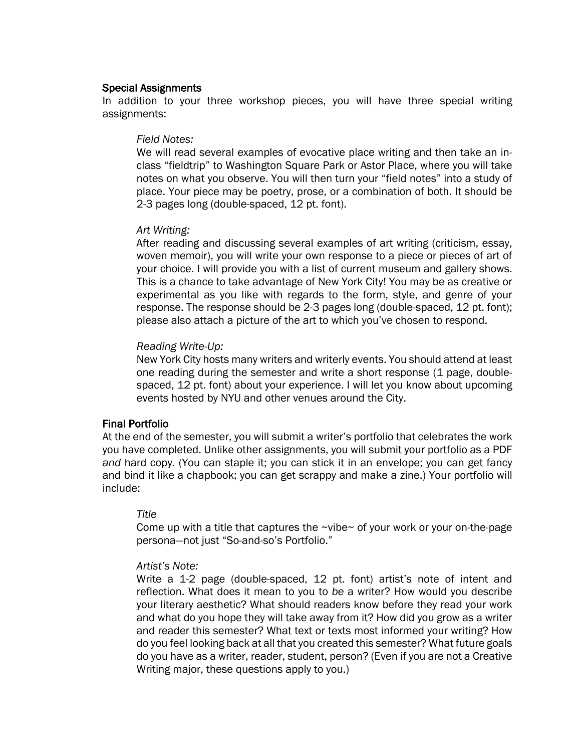### Special Assignments

In addition to your three workshop pieces, you will have three special writing assignments:

#### *Field Notes:*

We will read several examples of evocative place writing and then take an inclass "fieldtrip" to Washington Square Park or Astor Place, where you will take notes on what you observe. You will then turn your "field notes" into a study of place. Your piece may be poetry, prose, or a combination of both. It should be 2-3 pages long (double-spaced, 12 pt. font).

#### *Art Writing:*

After reading and discussing several examples of art writing (criticism, essay, woven memoir), you will write your own response to a piece or pieces of art of your choice. I will provide you with a list of current museum and gallery shows. This is a chance to take advantage of New York City! You may be as creative or experimental as you like with regards to the form, style, and genre of your response. The response should be 2-3 pages long (double-spaced, 12 pt. font); please also attach a picture of the art to which you've chosen to respond.

### *Reading Write-Up:*

New York City hosts many writers and writerly events. You should attend at least one reading during the semester and write a short response (1 page, doublespaced, 12 pt. font) about your experience. I will let you know about upcoming events hosted by NYU and other venues around the City.

### Final Portfolio

At the end of the semester, you will submit a writer's portfolio that celebrates the work you have completed. Unlike other assignments, you will submit your portfolio as a PDF *and* hard copy. (You can staple it; you can stick it in an envelope; you can get fancy and bind it like a chapbook; you can get scrappy and make a zine.) Your portfolio will include:

### *Title*

Come up with a title that captures the ~vibe~ of your work or your on-the-page persona—not just "So-and-so's Portfolio."

#### *Artist's Note:*

Write a 1-2 page (double-spaced, 12 pt. font) artist's note of intent and reflection. What does it mean to you to *be* a writer? How would you describe your literary aesthetic? What should readers know before they read your work and what do you hope they will take away from it? How did you grow as a writer and reader this semester? What text or texts most informed your writing? How do you feel looking back at all that you created this semester? What future goals do you have as a writer, reader, student, person? (Even if you are not a Creative Writing major, these questions apply to you.)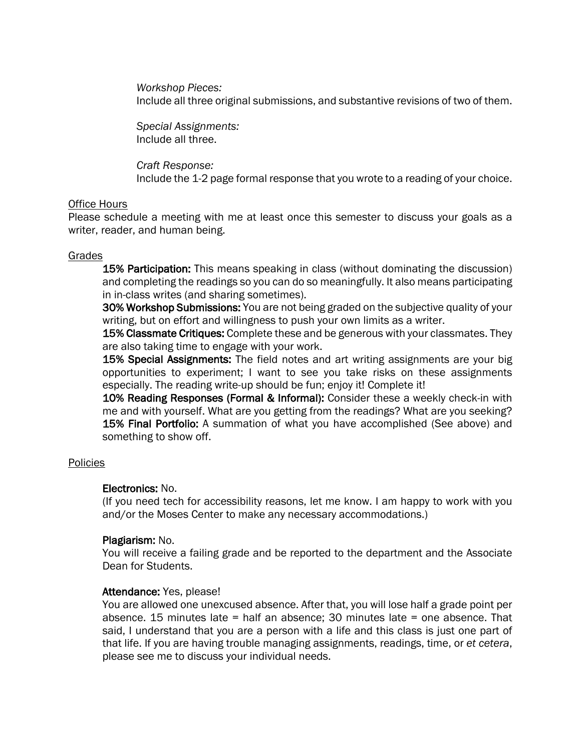*Workshop Pieces:* Include all three original submissions, and substantive revisions of two of them.

*Special Assignments:* Include all three.

*Craft Response:* Include the 1-2 page formal response that you wrote to a reading of your choice.

## Office Hours

Please schedule a meeting with me at least once this semester to discuss your goals as a writer, reader, and human being.

## Grades

15% Participation: This means speaking in class (without dominating the discussion) and completing the readings so you can do so meaningfully. It also means participating in in-class writes (and sharing sometimes).

30% Workshop Submissions: You are not being graded on the subjective quality of your writing, but on effort and willingness to push your own limits as a writer.

**15% Classmate Critiques:** Complete these and be generous with your classmates. They are also taking time to engage with your work.

15% Special Assignments: The field notes and art writing assignments are your big opportunities to experiment; I want to see you take risks on these assignments especially. The reading write-up should be fun; enjoy it! Complete it!

10% Reading Responses (Formal & Informal): Consider these a weekly check-in with me and with yourself. What are you getting from the readings? What are you seeking? 15% Final Portfolio: A summation of what you have accomplished (See above) and something to show off.

### Policies

### Electronics: No.

(If you need tech for accessibility reasons, let me know. I am happy to work with you and/or the Moses Center to make any necessary accommodations.)

# Plagiarism: No.

You will receive a failing grade and be reported to the department and the Associate Dean for Students.

### Attendance: Yes, please!

You are allowed one unexcused absence. After that, you will lose half a grade point per absence. 15 minutes late = half an absence; 30 minutes late = one absence. That said, I understand that you are a person with a life and this class is just one part of that life. If you are having trouble managing assignments, readings, time, or *et cetera*, please see me to discuss your individual needs.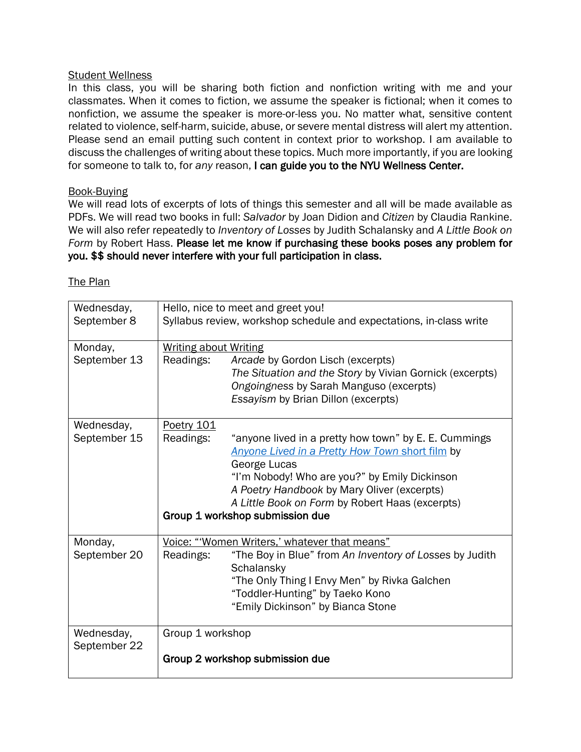# Student Wellness

In this class, you will be sharing both fiction and nonfiction writing with me and your classmates. When it comes to fiction, we assume the speaker is fictional; when it comes to nonfiction, we assume the speaker is more-or-less you. No matter what, sensitive content related to violence, self-harm, suicide, abuse, or severe mental distress will alert my attention. Please send an email putting such content in context prior to workshop. I am available to discuss the challenges of writing about these topics. Much more importantly, if you are looking for someone to talk to, for *any* reason, I can guide you to the NYU Wellness Center.

# Book-Buying

We will read lots of excerpts of lots of things this semester and all will be made available as PDFs. We will read two books in full: *Salvador* by Joan Didion and *Citizen* by Claudia Rankine. We will also refer repeatedly to *Inventory of Losses* by Judith Schalansky and *A Little Book on Form* by Robert Hass. Please let me know if purchasing these books poses any problem for you. \$\$ should never interfere with your full participation in class.

| Wednesday,                 |                                                                                                           |                                                                                                          |  |
|----------------------------|-----------------------------------------------------------------------------------------------------------|----------------------------------------------------------------------------------------------------------|--|
| September 8                | Hello, nice to meet and greet you!<br>Syllabus review, workshop schedule and expectations, in-class write |                                                                                                          |  |
| Monday,<br>September 13    | <b>Writing about Writing</b><br>Readings:                                                                 | Arcade by Gordon Lisch (excerpts)                                                                        |  |
|                            |                                                                                                           | The Situation and the Story by Vivian Gornick (excerpts)                                                 |  |
|                            |                                                                                                           | Ongoingness by Sarah Manguso (excerpts)                                                                  |  |
|                            |                                                                                                           | Essayism by Brian Dillon (excerpts)                                                                      |  |
| Wednesday,                 | <b>Poetry 101</b>                                                                                         |                                                                                                          |  |
| September 15               | Readings:                                                                                                 | "anyone lived in a pretty how town" by E. E. Cummings<br>Anyone Lived in a Pretty How Town short film by |  |
|                            |                                                                                                           | George Lucas                                                                                             |  |
|                            |                                                                                                           | "I'm Nobody! Who are you?" by Emily Dickinson<br>A Poetry Handbook by Mary Oliver (excerpts)             |  |
|                            |                                                                                                           | A Little Book on Form by Robert Haas (excerpts)                                                          |  |
|                            | Group 1 workshop submission due                                                                           |                                                                                                          |  |
| Monday,                    | Voice: "Women Writers,' whatever that means"                                                              |                                                                                                          |  |
| September 20               | Readings:                                                                                                 | "The Boy in Blue" from An Inventory of Losses by Judith<br>Schalansky                                    |  |
|                            |                                                                                                           | "The Only Thing I Envy Men" by Rivka Galchen                                                             |  |
|                            |                                                                                                           | "Toddler-Hunting" by Taeko Kono                                                                          |  |
|                            |                                                                                                           | "Emily Dickinson" by Bianca Stone                                                                        |  |
| Wednesday,<br>September 22 | Group 1 workshop                                                                                          |                                                                                                          |  |
|                            | Group 2 workshop submission due                                                                           |                                                                                                          |  |

# The Plan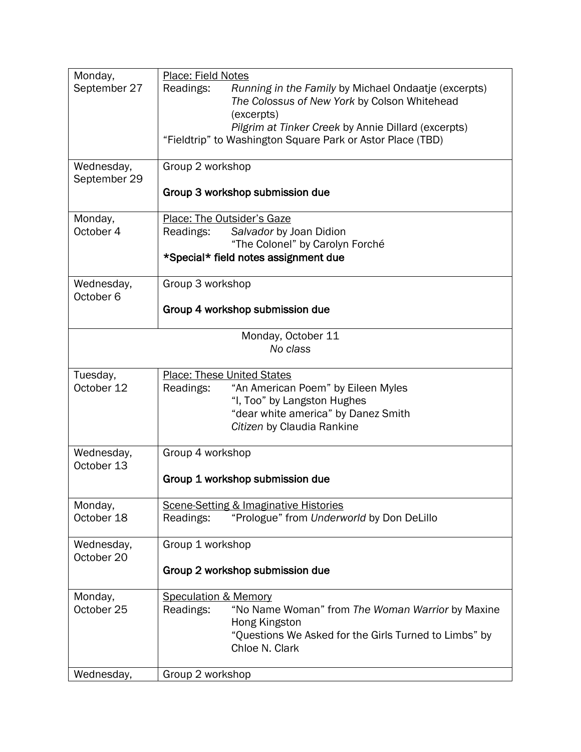| Monday,              | Place: Field Notes                                                |  |
|----------------------|-------------------------------------------------------------------|--|
| September 27         | Readings:<br>Running in the Family by Michael Ondaatje (excerpts) |  |
|                      | The Colossus of New York by Colson Whitehead                      |  |
|                      | (excerpts)                                                        |  |
|                      | Pilgrim at Tinker Creek by Annie Dillard (excerpts)               |  |
|                      |                                                                   |  |
|                      | "Fieldtrip" to Washington Square Park or Astor Place (TBD)        |  |
|                      |                                                                   |  |
| Wednesday,           | Group 2 workshop                                                  |  |
| September 29         |                                                                   |  |
|                      | Group 3 workshop submission due                                   |  |
|                      |                                                                   |  |
| Monday,              | Place: The Outsider's Gaze                                        |  |
| October 4            | Salvador by Joan Didion<br>Readings:                              |  |
|                      | "The Colonel" by Carolyn Forché                                   |  |
|                      | *Special* field notes assignment due                              |  |
|                      |                                                                   |  |
| Wednesday,           | Group 3 workshop                                                  |  |
| October <sub>6</sub> |                                                                   |  |
|                      | Group 4 workshop submission due                                   |  |
|                      |                                                                   |  |
|                      | Monday, October 11                                                |  |
|                      | No class                                                          |  |
|                      |                                                                   |  |
| Tuesday,             | <b>Place: These United States</b>                                 |  |
| October 12           | "An American Poem" by Eileen Myles<br>Readings:                   |  |
|                      | "I, Too" by Langston Hughes                                       |  |
|                      | "dear white america" by Danez Smith                               |  |
|                      |                                                                   |  |
|                      | Citizen by Claudia Rankine                                        |  |
|                      |                                                                   |  |
| Wednesday,           | Group 4 workshop                                                  |  |
| October 13           |                                                                   |  |
|                      | Group 1 workshop submission due                                   |  |
|                      |                                                                   |  |
| Monday,              | <b>Scene-Setting &amp; Imaginative Histories</b>                  |  |
| October 18           | "Prologue" from Underworld by Don DeLillo<br>Readings:            |  |
|                      |                                                                   |  |
| Wednesday,           | Group 1 workshop                                                  |  |
| October 20           |                                                                   |  |
|                      | Group 2 workshop submission due                                   |  |
|                      |                                                                   |  |
| Monday,              | <b>Speculation &amp; Memory</b>                                   |  |
| October 25           | "No Name Woman" from The Woman Warrior by Maxine<br>Readings:     |  |
|                      | Hong Kingston                                                     |  |
|                      | "Questions We Asked for the Girls Turned to Limbs" by             |  |
|                      | Chloe N. Clark                                                    |  |
|                      |                                                                   |  |
| Wednesday,           | Group 2 workshop                                                  |  |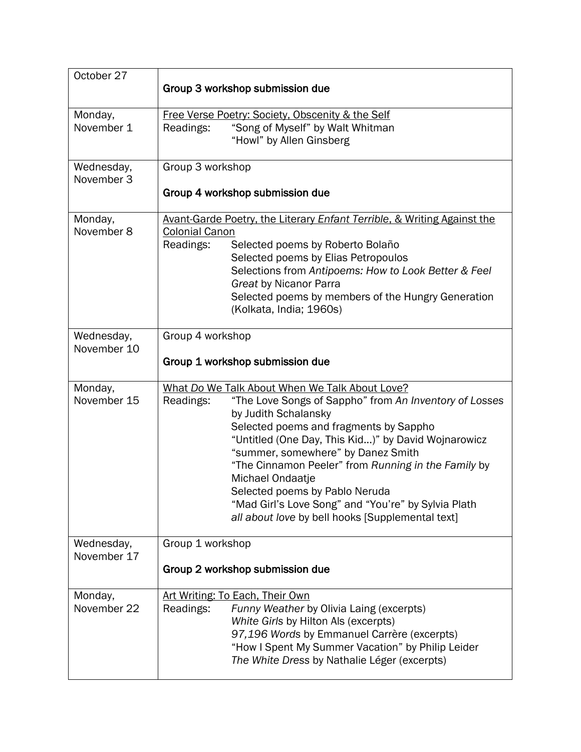| October 27                | Group 3 workshop submission due                                                                                       |  |  |
|---------------------------|-----------------------------------------------------------------------------------------------------------------------|--|--|
| Monday,                   | Free Verse Poetry: Society, Obscenity & the Self                                                                      |  |  |
| November 1                | "Song of Myself" by Walt Whitman<br>Readings:                                                                         |  |  |
|                           | "Howl" by Allen Ginsberg                                                                                              |  |  |
| Wednesday,                | Group 3 workshop                                                                                                      |  |  |
| November 3                |                                                                                                                       |  |  |
|                           | Group 4 workshop submission due                                                                                       |  |  |
| Monday,                   | Avant-Garde Poetry, the Literary Enfant Terrible, & Writing Against the                                               |  |  |
| November 8                | <b>Colonial Canon</b>                                                                                                 |  |  |
|                           | Readings:<br>Selected poems by Roberto Bolaño                                                                         |  |  |
|                           | Selected poems by Elias Petropoulos                                                                                   |  |  |
|                           | Selections from Antipoems: How to Look Better & Feel<br>Great by Nicanor Parra                                        |  |  |
|                           | Selected poems by members of the Hungry Generation                                                                    |  |  |
|                           | (Kolkata, India; 1960s)                                                                                               |  |  |
|                           |                                                                                                                       |  |  |
| Wednesday,<br>November 10 | Group 4 workshop                                                                                                      |  |  |
|                           | Group 1 workshop submission due                                                                                       |  |  |
|                           |                                                                                                                       |  |  |
| Monday,<br>November 15    | What Do We Talk About When We Talk About Love?<br>Readings:<br>"The Love Songs of Sappho" from An Inventory of Losses |  |  |
|                           | by Judith Schalansky                                                                                                  |  |  |
|                           | Selected poems and fragments by Sappho                                                                                |  |  |
|                           | "Untitled (One Day, This Kid)" by David Wojnarowicz                                                                   |  |  |
|                           | "summer, somewhere" by Danez Smith                                                                                    |  |  |
|                           | "The Cinnamon Peeler" from Running in the Family by                                                                   |  |  |
|                           | Michael Ondaatje                                                                                                      |  |  |
|                           | Selected poems by Pablo Neruda<br>"Mad Girl's Love Song" and "You're" by Sylvia Plath                                 |  |  |
|                           | all about love by bell hooks [Supplemental text]                                                                      |  |  |
|                           |                                                                                                                       |  |  |
| Wednesday,<br>November 17 | Group 1 workshop                                                                                                      |  |  |
|                           | Group 2 workshop submission due                                                                                       |  |  |
|                           |                                                                                                                       |  |  |
| Monday,                   | Art Writing: To Each, Their Own                                                                                       |  |  |
| November 22               | Readings:<br>Funny Weather by Olivia Laing (excerpts)                                                                 |  |  |
|                           | White Girls by Hilton Als (excerpts)                                                                                  |  |  |
|                           | 97,196 Words by Emmanuel Carrère (excerpts)                                                                           |  |  |
|                           | "How I Spent My Summer Vacation" by Philip Leider<br>The White Dress by Nathalie Léger (excerpts)                     |  |  |
|                           |                                                                                                                       |  |  |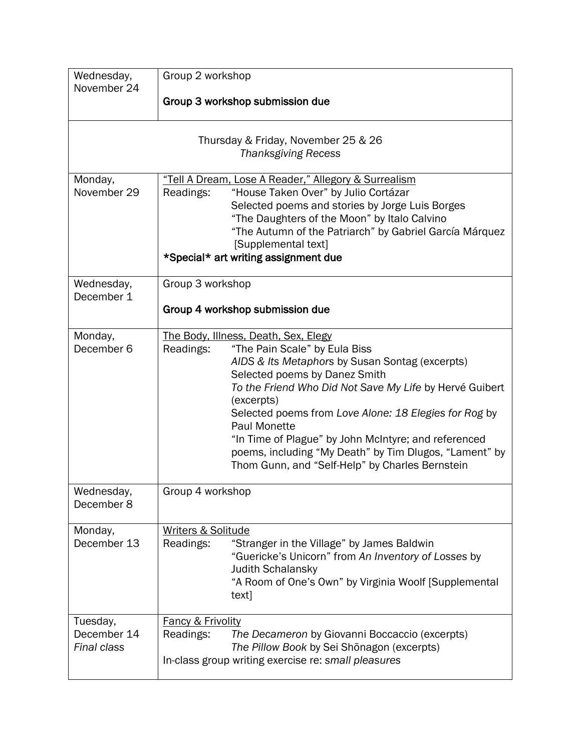| Wednesday,<br>November 24                                         | Group 2 workshop<br>Group 3 workshop submission due                                                                                                                                                                                                                                                                                                                                                                                                                                                  |  |
|-------------------------------------------------------------------|------------------------------------------------------------------------------------------------------------------------------------------------------------------------------------------------------------------------------------------------------------------------------------------------------------------------------------------------------------------------------------------------------------------------------------------------------------------------------------------------------|--|
| Thursday & Friday, November 25 & 26<br><b>Thanksgiving Recess</b> |                                                                                                                                                                                                                                                                                                                                                                                                                                                                                                      |  |
| Monday,<br>November 29                                            | "Tell A Dream, Lose A Reader," Allegory & Surrealism<br>"House Taken Over" by Julio Cortázar<br>Readings:<br>Selected poems and stories by Jorge Luis Borges<br>"The Daughters of the Moon" by Italo Calvino<br>"The Autumn of the Patriarch" by Gabriel García Márquez<br>[Supplemental text]<br>*Special* art writing assignment due                                                                                                                                                               |  |
| Wednesday,<br>December 1                                          | Group 3 workshop<br>Group 4 workshop submission due                                                                                                                                                                                                                                                                                                                                                                                                                                                  |  |
| Monday,<br>December 6                                             | The Body, Illness, Death, Sex, Elegy<br>Readings:<br>"The Pain Scale" by Eula Biss<br>AIDS & Its Metaphors by Susan Sontag (excerpts)<br>Selected poems by Danez Smith<br>To the Friend Who Did Not Save My Life by Hervé Guibert<br>(excerpts)<br>Selected poems from Love Alone: 18 Elegies for Rog by<br><b>Paul Monette</b><br>"In Time of Plague" by John McIntyre; and referenced<br>poems, including "My Death" by Tim Dlugos, "Lament" by<br>Thom Gunn, and "Self-Help" by Charles Bernstein |  |
| Wednesday,<br>December 8                                          | Group 4 workshop                                                                                                                                                                                                                                                                                                                                                                                                                                                                                     |  |
| Monday,<br>December 13                                            | Writers & Solitude<br>"Stranger in the Village" by James Baldwin<br>Readings:<br>"Guericke's Unicorn" from An Inventory of Losses by<br><b>Judith Schalansky</b><br>"A Room of One's Own" by Virginia Woolf [Supplemental<br>text]                                                                                                                                                                                                                                                                   |  |
| Tuesday,<br>December 14<br>Final class                            | <b>Fancy &amp; Frivolity</b><br>Readings:<br>The Decameron by Giovanni Boccaccio (excerpts)<br>The Pillow Book by Sei Shōnagon (excerpts)<br>In-class group writing exercise re: small pleasures                                                                                                                                                                                                                                                                                                     |  |